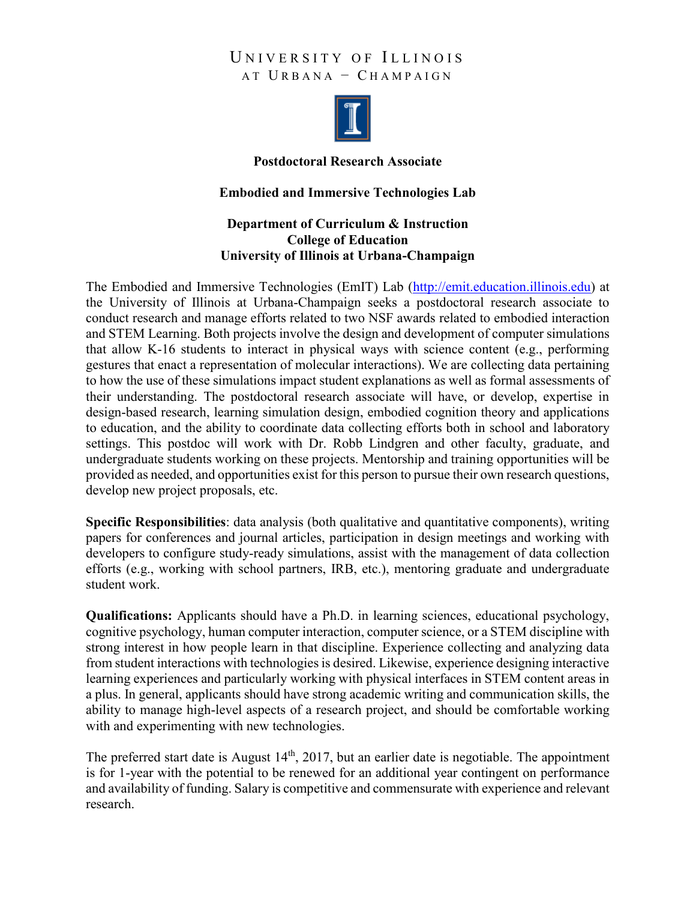## UNIVERSITY OF ILLINOIS AT U RBANA − C HAMPAIGN



## **Postdoctoral Research Associate**

## **Embodied and Immersive Technologies Lab**

## **Department of Curriculum & Instruction College of Education University of Illinois at Urbana-Champaign**

The Embodied and Immersive Technologies (EmIT) Lab (http://emit.education.illinois.edu) at the University of Illinois at Urbana-Champaign seeks a postdoctoral research associate to conduct research and manage efforts related to two NSF awards related to embodied interaction and STEM Learning. Both projects involve the design and development of computer simulations that allow K-16 students to interact in physical ways with science content (e.g., performing gestures that enact a representation of molecular interactions). We are collecting data pertaining to how the use of these simulations impact student explanations as well as formal assessments of their understanding. The postdoctoral research associate will have, or develop, expertise in design-based research, learning simulation design, embodied cognition theory and applications to education, and the ability to coordinate data collecting efforts both in school and laboratory settings. This postdoc will work with Dr. Robb Lindgren and other faculty, graduate, and undergraduate students working on these projects. Mentorship and training opportunities will be provided as needed, and opportunities exist for this person to pursue their own research questions, develop new project proposals, etc.

**Specific Responsibilities**: data analysis (both qualitative and quantitative components), writing papers for conferences and journal articles, participation in design meetings and working with developers to configure study-ready simulations, assist with the management of data collection efforts (e.g., working with school partners, IRB, etc.), mentoring graduate and undergraduate student work.

**Qualifications:** Applicants should have a Ph.D. in learning sciences, educational psychology, cognitive psychology, human computer interaction, computer science, or a STEM discipline with strong interest in how people learn in that discipline. Experience collecting and analyzing data from student interactions with technologies is desired. Likewise, experience designing interactive learning experiences and particularly working with physical interfaces in STEM content areas in a plus. In general, applicants should have strong academic writing and communication skills, the ability to manage high-level aspects of a research project, and should be comfortable working with and experimenting with new technologies.

The preferred start date is August 14<sup>th</sup>, 2017, but an earlier date is negotiable. The appointment is for 1-year with the potential to be renewed for an additional year contingent on performance and availability of funding. Salary is competitive and commensurate with experience and relevant research.